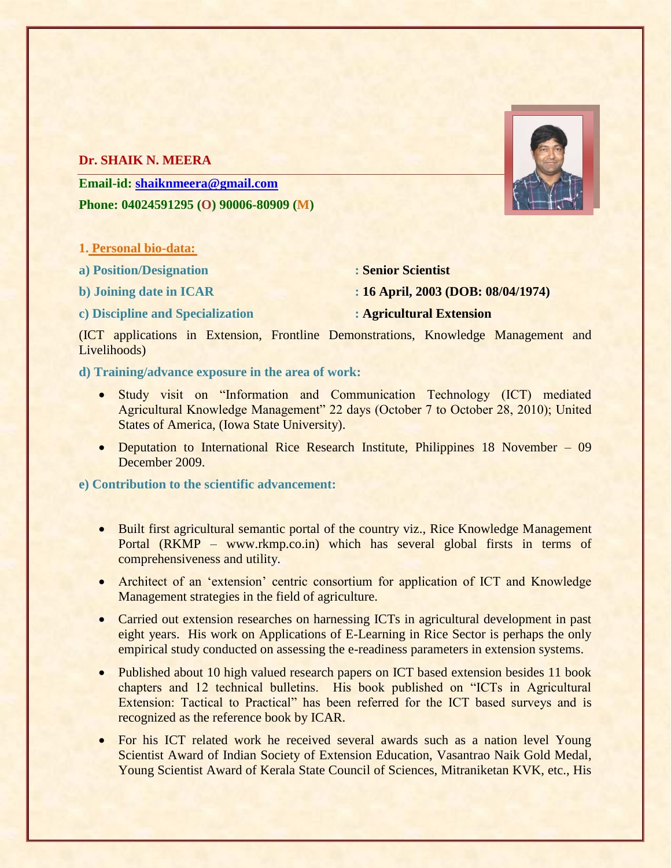# **Dr. SHAIK N. MEERA**

**Email-id: [shaiknmeera@gmail.com](mailto:shaiknmeera@gmail.com) Phone: 04024591295 (O) 90006-80909 (M)**

- **1. Personal bio-data:**
- **a) Position/Designation : Senior Scientist**
- 
- **c) Discipline and Specialization : Agricultural Extension**
- 
- **b) Joining date in ICAR : 16 April, 2003 (DOB: 08/04/1974)**
	-

(ICT applications in Extension, Frontline Demonstrations, Knowledge Management and Livelihoods)

## **d) Training/advance exposure in the area of work:**

- Study visit on "Information and Communication Technology (ICT) mediated Agricultural Knowledge Management" 22 days (October 7 to October 28, 2010); United States of America, (Iowa State University).
- Deputation to International Rice Research Institute, Philippines 18 November 09 December 2009.

## **e) Contribution to the scientific advancement:**

- Built first agricultural semantic portal of the country viz., Rice Knowledge Management Portal (RKMP – www.rkmp.co.in) which has several global firsts in terms of comprehensiveness and utility.
- Architect of an 'extension' centric consortium for application of ICT and Knowledge Management strategies in the field of agriculture.
- Carried out extension researches on harnessing ICTs in agricultural development in past eight years. His work on Applications of E-Learning in Rice Sector is perhaps the only empirical study conducted on assessing the e-readiness parameters in extension systems.
- Published about 10 high valued research papers on ICT based extension besides 11 book chapters and 12 technical bulletins. His book published on "ICTs in Agricultural Extension: Tactical to Practical" has been referred for the ICT based surveys and is recognized as the reference book by ICAR.
- For his ICT related work he received several awards such as a nation level Young Scientist Award of Indian Society of Extension Education, Vasantrao Naik Gold Medal, Young Scientist Award of Kerala State Council of Sciences, Mitraniketan KVK, etc., His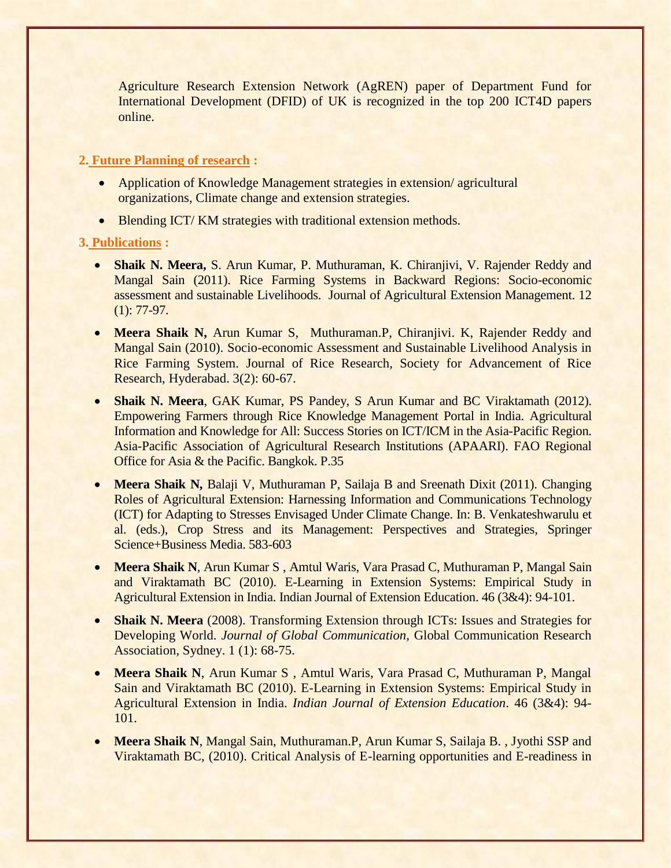Agriculture Research Extension Network (AgREN) paper of Department Fund for International Development (DFID) of UK is recognized in the top 200 ICT4D papers online.

## **2. Future Planning of research :**

- Application of Knowledge Management strategies in extension/agricultural organizations, Climate change and extension strategies.
- Blending ICT/KM strategies with traditional extension methods.

## **3. Publications :**

- **Shaik N. Meera,** S. Arun Kumar, P. Muthuraman, K. Chiranjivi, V. Rajender Reddy and Mangal Sain (2011). Rice Farming Systems in Backward Regions: Socio-economic assessment and sustainable Livelihoods. Journal of Agricultural Extension Management. 12  $(1): 77-97.$
- **Meera Shaik N,** Arun Kumar S, Muthuraman.P, Chiranjivi. K, Rajender Reddy and Mangal Sain (2010). Socio-economic Assessment and Sustainable Livelihood Analysis in Rice Farming System. Journal of Rice Research, Society for Advancement of Rice Research, Hyderabad. 3(2): 60-67.
- **Shaik N. Meera**, GAK Kumar, PS Pandey, S Arun Kumar and BC Viraktamath (2012). Empowering Farmers through Rice Knowledge Management Portal in India. Agricultural Information and Knowledge for All: Success Stories on ICT/ICM in the Asia-Pacific Region. Asia-Pacific Association of Agricultural Research Institutions (APAARI). FAO Regional Office for Asia & the Pacific. Bangkok. P.35
- **Meera Shaik N, Balaji V, Muthuraman P, Sailaja B and Sreenath Dixit (2011). Changing** Roles of Agricultural Extension: Harnessing Information and Communications Technology (ICT) for Adapting to Stresses Envisaged Under Climate Change. In: B. Venkateshwarulu et al. (eds.), Crop Stress and its Management: Perspectives and Strategies, Springer Science+Business Media. 583-603
- **Meera Shaik N, Arun Kumar S, Amtul Waris, Vara Prasad C, Muthuraman P, Mangal Sain** and Viraktamath BC (2010). E-Learning in Extension Systems: Empirical Study in Agricultural Extension in India. Indian Journal of Extension Education. 46 (3&4): 94-101.
- **Shaik N. Meera** (2008). Transforming Extension through ICTs: Issues and Strategies for Developing World. *Journal of Global Communication*, Global Communication Research Association, Sydney. 1 (1): 68-75.
- **Meera Shaik N**, Arun Kumar S , Amtul Waris, Vara Prasad C, Muthuraman P, Mangal Sain and Viraktamath BC (2010). E-Learning in Extension Systems: Empirical Study in Agricultural Extension in India. *Indian Journal of Extension Education*. 46 (3&4): 94- 101.
- **Meera Shaik N**, Mangal Sain, Muthuraman.P, Arun Kumar S, Sailaja B. , Jyothi SSP and Viraktamath BC, (2010). Critical Analysis of E-learning opportunities and E-readiness in